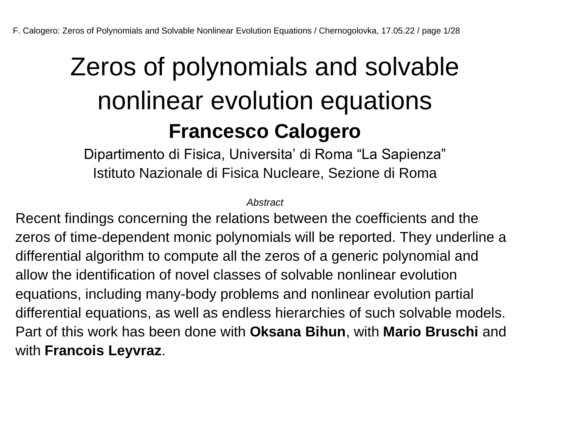## Zeros of polynomials and solvable nonlinear evolution equations **Francesco Calogero**

Dipartimento di Fisica, Universita' di Roma "La Sapienza" Istituto Nazionale di Fisica Nucleare, Sezione di Roma

*Abstract*

Recent findings concerning the relations between the coefficients and the zeros of time-dependent monic polynomials will be reported. They underline a differential algorithm to compute all the zeros of a generic polynomial and allow the identification of novel classes of solvable nonlinear evolution equations, including many-body problems and nonlinear evolution partial differential equations, as well as endless hierarchies of such solvable models. Part of this work has been done with **Oksana Bihun**, with **Mario Bruschi** and with **Francois Leyvraz**.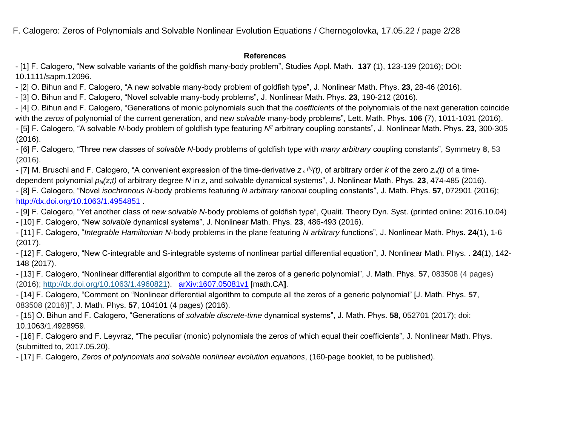F. Calogero: Zeros of Polynomials and Solvable Nonlinear Evolution Equations / Chernogolovka, 17.05.22 / page 2/28

#### **References**

- [1] F. Calogero, "New solvable variants of the goldfish many-body problem", Studies Appl. Math. **137** (1), 123-139 (2016); DOI: 10.1111/sapm.12096.

- [2] O. Bihun and F. Calogero, "A new solvable many-body problem of goldfish type", J. Nonlinear Math. Phys. **23**, 28-46 (2016).

- [3] O. Bihun and F. Calogero, "Novel solvable many-body problems", J. Nonlinear Math. Phys. **23**, 190-212 (2016).

- [4] O. Bihun and F. Calogero, "Generations of monic polynomials such that the *coefficients* of the polynomials of the next generation coincide with the *zeros* of polynomial of the current generation, and new *solvable* many-body problems", Lett. Math. Phys. **106** (7), 1011-1031 (2016).

- [5] F. Calogero, "A solvable *N*-body problem of goldfish type featuring *N<sup>2</sup>* arbitrary coupling constants", J. Nonlinear Math. Phys. **23**, 300-305 (2016).

- [6] F. Calogero, "Three new classes of *solvable N*-body problems of goldfish type with *many arbitrary* coupling constants", Symmetry **8**, 53 (2016).

- [7] M. Bruschi and F. Calogero, "A convenient expression of the time-derivative  $z_n{}^{\scriptscriptstyle (k)}(t)$ , of arbitrary order *k* of the zero  $z_n(t)$  of a timedependent polynomial *pN(z;t)* of arbitrary degree *N* in *z*, and solvable dynamical systems", J. Nonlinear Math. Phys. **23**, 474-485 (2016).

- [8] F. Calogero, "Novel *isochronous N*-body problems featuring *N arbitrary rational* coupling constants", J. Math. Phys. **57**, 072901 (2016); <http://dx.doi.org/10.1063/1.4954851> .

- [9] F. Calogero, "Yet another class of *new* s*olvable N*-body problems of goldfish type", Qualit. Theory Dyn. Syst. (printed online: 2016.10.04)

- [10] F. Calogero, "New *solvable* dynamical systems", J. Nonlinear Math. Phys. **23**, 486-493 (2016).

- [11] F. Calogero, "*Integrable Hamiltonian N*-body problems in the plane featuring *N arbitrary* functions", J. Nonlinear Math. Phys. **24**(1), 1-6 (2017).

- [12] F. Calogero, "New C-integrable and S-integrable systems of nonlinear partial differential equation", J. Nonlinear Math. Phys. . **24**(1), 142- 148 (2017).

- [13] F. Calogero, "Nonlinear differential algorithm to compute all the zeros of a generic polynomial", J. Math. Phys. **57**, 083508 (4 pages) (2016); [http://dx.doi.org/10.1063/1.4960821\)](http://dx.doi.org/10.1063/1.4960821). [arXiv:1607.05081v1](http://arxiv.org/abs/1607.05081v1) [math.CA**]**.

- [14] F. Calogero, "Comment on "Nonlinear differential algorithm to compute all the zeros of a generic polynomial" [J. Math. Phys. **57**, 083508 (2016)]", J. Math. Phys. **57**, 104101 (4 pages) (2016).

- [15] O. Bihun and F. Calogero, "Generations of *solvable discrete-time* dynamical systems", J. Math. Phys. **58**, 052701 (2017); doi: 10.1063/1.4928959.

- [16] F. Calogero and F. Leyvraz, "The peculiar (monic) polynomials the zeros of which equal their coefficients", J. Nonlinear Math. Phys. (submitted to, 2017.05.20).

- [17] F. Calogero, *Zeros of polynomials and solvable nonlinear evolution equations*, (160-page booklet, to be published).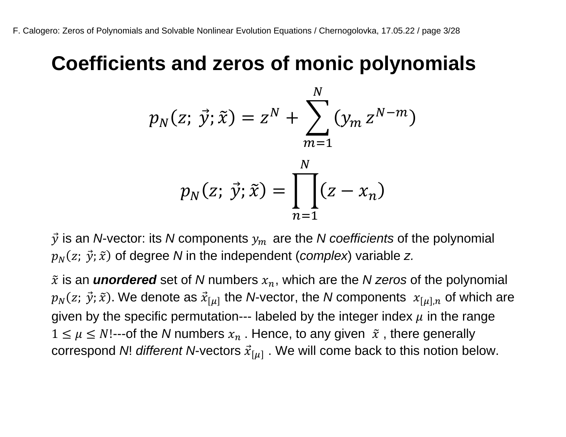#### **Coefficients and zeros of monic polynomials**

$$
p_N(z; \vec{y}; \tilde{x}) = z^N + \sum_{m=1}^N (y_m z^{N-m})
$$

$$
p_N(z; \vec{y}; \tilde{x}) = \prod_{n=1}^N (z - x_n)
$$

 $\vec{y}$  is an *N*-vector: its *N* components  $y_m$  are the *N* coefficients of the polynomial  $p_N(z; \ \vec{\mathrm{y}}; \widetilde{x})$  of degree  $N$  in the independent (*complex*) variable  $z$ .

 $\tilde{x}$  is an **unordered** set of N numbers  $x_n$ , which are the N zeros of the polynomial  $p_N(z; \ \vec{\mathit{y}}; \widetilde{x}).$  We denote as  $\vec{x}_{[\mu]}$  the *N*-vector, the *N* components  $\ x_{[\mu],n}$  of which are given by the specific permutation--- labeled by the integer index  $\mu$  in the range  $1 \leq \mu \leq N!$ ---of the N numbers  $x_n$ . Hence, to any given  $\tilde{x}$ , there generally correspond *N*! *different N*-vectors  $\vec{x}_{[\mu]}$  . We will come back to this notion below.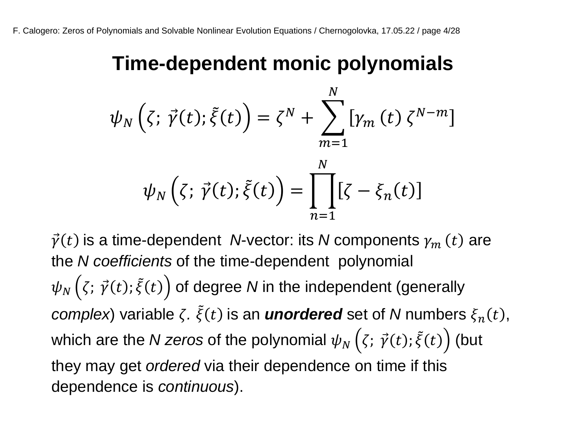#### **Time-dependent monic polynomials**

$$
\psi_N(\zeta; \vec{\gamma}(t); \tilde{\xi}(t)) = \zeta^N + \sum_{m=1}^N \left[ \gamma_m(t) \zeta^{N-m} \right]
$$

$$
\psi_N(\zeta; \vec{\gamma}(t); \tilde{\xi}(t)) = \prod_{n=1}^N \left[ \zeta - \xi_n(t) \right]
$$

 $\vec{\gamma}(t)$  is a time-dependent *N*-vector: its *N* components  $\gamma_m\left(t\right)$  are the *N coefficients* of the time-dependent polynomial  $\psi_N\left(\zeta;\,\vec{\gamma}(t);\tilde{\xi}(t)\right)$  of degree  $N$  in the independent (generally *complex*) variable  $\zeta$ .  $\tilde{\xi}(t)$  is an *unordered* set of *N* numbers  $\xi_n(t)$ , which are the *N zeros* of the polynomial  $\psi_N\left(\zeta;\,\vec{\gamma}(t);\tilde{\xi}(t)\right)$  (but they may get *ordered* via their dependence on time if this dependence is *continuous*).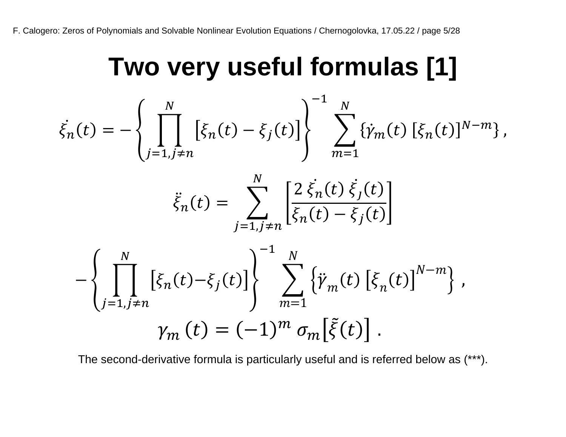#### **Two very useful formulas [1]**

$$
\dot{\xi}_{n}(t) = -\left\{ \prod_{j=1, j \neq n}^{N} \left[ \xi_{n}(t) - \xi_{j}(t) \right] \right\}^{-1} \sum_{m=1}^{N} \{ \dot{\gamma}_{m}(t) \left[ \xi_{n}(t) \right]^{N-m} \},
$$
\n
$$
\ddot{\xi}_{n}(t) = \sum_{j=1, j \neq n}^{N} \left[ \frac{2 \xi_{n}(t) \xi_{j}(t)}{\xi_{n}(t) - \xi_{j}(t)} \right]
$$
\n
$$
- \left\{ \prod_{j=1, j \neq n}^{N} \left[ \xi_{n}(t) - \xi_{j}(t) \right] \right\}^{-1} \sum_{m=1}^{N} \left\{ \ddot{\gamma}_{m}(t) \left[ \xi_{n}(t) \right]^{N-m} \right\},
$$
\n
$$
\gamma_{m}(t) = (-1)^{m} \sigma_{m} \left[ \tilde{\xi}(t) \right].
$$

The second-derivative formula is particularly useful and is referred below as (\*\*\*).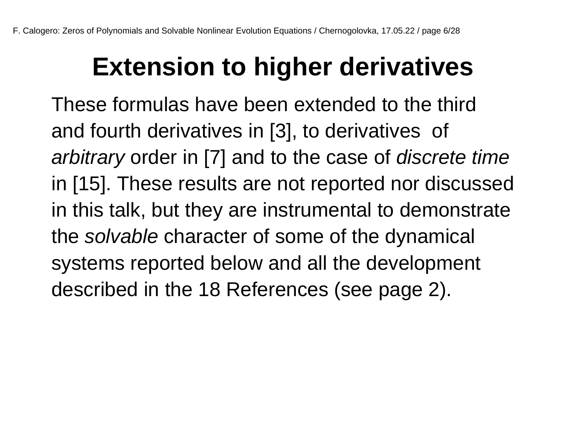## **Extension to higher derivatives**

These formulas have been extended to the third and fourth derivatives in [3], to derivatives of *arbitrary* order in [7] and to the case of *discrete time* in [15]. These results are not reported nor discussed in this talk, but they are instrumental to demonstrate the *solvable* character of some of the dynamical systems reported below and all the development described in the 18 References (see page 2).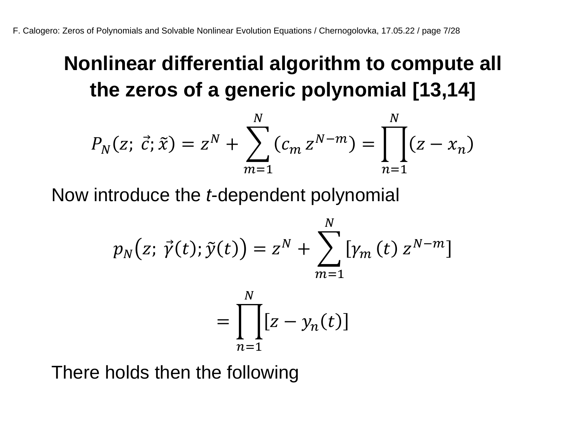#### **Nonlinear differential algorithm to compute all the zeros of a generic polynomial [13,14]**

$$
P_N(z; \vec{c}; \tilde{x}) = z^N + \sum_{m=1}^N (c_m z^{N-m}) = \prod_{n=1}^N (z - x_n)
$$

Now introduce the *t*-dependent polynomial

$$
p_N(z; \vec{\gamma}(t); \tilde{y}(t)) = z^N + \sum_{m=1}^N \left[ \gamma_m(t) \, z^{N-m} \right]
$$

$$
= \prod_{k=1}^N \left[ z - \gamma_n(t) \right]
$$

 $n=1$ 

There holds then the following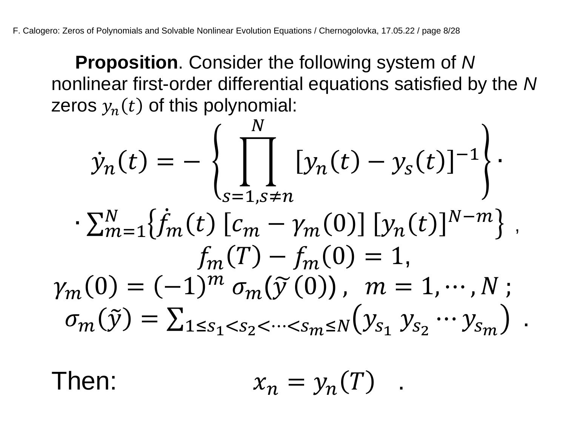**Proposition**. Consider the following system of *N* nonlinear first-order differential equations satisfied by the *N* zeros  $y_n(t)$  of this polynomial:

$$
\dot{y}_n(t) = -\left\{ \prod_{s=1, s \neq n}^N [y_n(t) - y_s(t)]^{-1} \right\} \cdot \sum_{m=1}^N \{ \dot{f}_m(t) [c_m - \gamma_m(0)] [y_n(t)]^{N-m} \} ,
$$

$$
f_m(T) - f_m(0) = 1,
$$

$$
\gamma_m(0) = (-1)^m \sigma_m(\tilde{y}(0)), \quad m = 1, \cdots, N ;
$$

$$
\sigma_m(\tilde{y}) = \sum_{1 \le s_1 < s_2 < \cdots < s_m \le N} (y_{s_1} y_{s_2} \cdots y_{s_m}).
$$

Then:  $x_n = y_n(T)$ .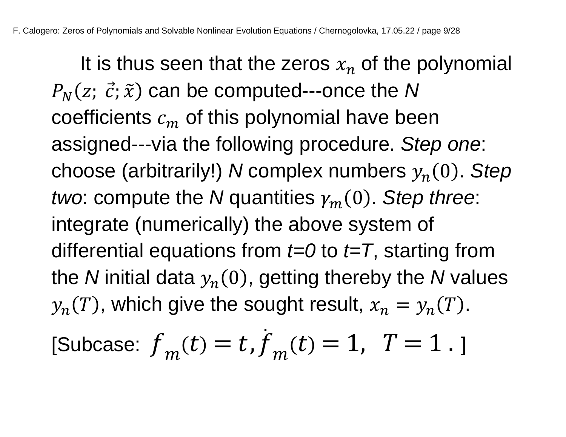It is thus seen that the zeros  $x_n$  of the polynomial  $P_N(z; \; \vec{c}; \widetilde{x})$  can be computed---once the N coefficients  $c_m$  of this polynomial have been assigned---via the following procedure. *Step one*: choose (arbitrarily!) *N* complex numbers  $y_n(0)$ . Step *two*: compute the *N* quantities  $\gamma_m(0)$ . *Step three*: integrate (numerically) the above system of differential equations from *t=0* to *t=T*, starting from the *N* initial data  $y_n(0)$ , getting thereby the *N* values  $y_n(T)$ , which give the sought result,  $x_n = y_n(T)$ .  $\ddot{\phantom{0}}$ 

[Subcase: 
$$
f_m(t) = t
$$
,  $f_m(t) = 1$ ,  $T = 1$ .]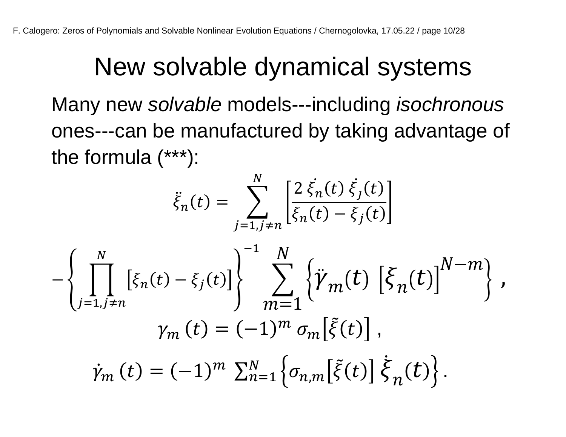### New solvable dynamical systems

Many new *solvable* models---including *isochronous* ones---can be manufactured by taking advantage of the formula (\*\*\*):

 $\overline{M}$ 

$$
\ddot{\xi}_{n}(t) = \sum_{j=1, j \neq n}^{N} \left[ \frac{2 \dot{\xi}_{n}(t) \dot{\xi}_{j}(t)}{\xi_{n}(t) - \xi_{j}(t)} \right]
$$

$$
- \left\{ \prod_{j=1, j \neq n}^{N} \left[ \xi_{n}(t) - \xi_{j}(t) \right] \right\}^{-1} \sum_{m=1}^{N} \left\{ \ddot{\gamma}_{m}(t) \left[ \xi_{n}(t) \right]^{N-m} \right\},
$$

$$
\gamma_{m}(t) = (-1)^{m} \sigma_{m} \left[ \tilde{\xi}(t) \right],
$$

$$
\dot{\gamma}_{m}(t) = (-1)^{m} \sum_{n=1}^{N} \left\{ \sigma_{n,m} \left[ \tilde{\xi}(t) \right] \dot{\xi}_{n}(t) \right\}.
$$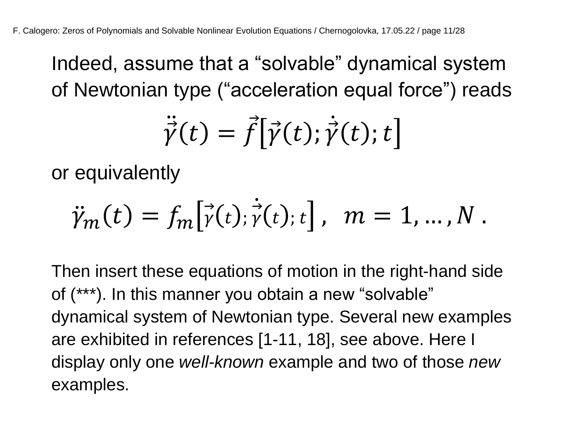Indeed, assume that a "solvable" dynamical system of Newtonian type ("acceleration equal force") reads

$$
\ddot{\vec{\gamma}}(t) = \vec{f} \big[ \vec{\gamma}(t); \dot{\vec{\gamma}}(t); t \big]
$$

or equivalently

$$
\ddot{\gamma}_m(t) = f_m[\dot{\gamma}(t); \dot{\gamma}(t); t], \quad m = 1, ..., N.
$$

Then insert these equations of motion in the right-hand side of (\*\*\*). In this manner you obtain a new "solvable" dynamical system of Newtonian type. Several new examples are exhibited in references [1-11, 18], see above. Here I display only one *well-known* example and two of those *new* examples.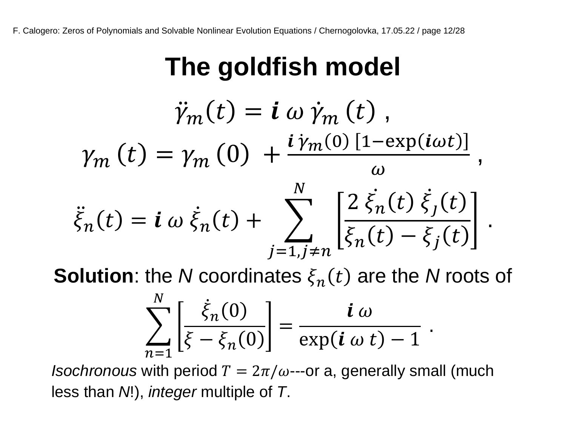## **The goldfish model**

$$
\ddot{\gamma}_m(t) = \mathbf{i} \omega \dot{\gamma}_m(t),
$$
  
\n
$$
\gamma_m(t) = \gamma_m(0) + \frac{\mathbf{i} \gamma_m(0) \left[1 - \exp(i\omega t)\right]}{\omega},
$$
  
\n
$$
\ddot{\xi}_n(t) = \mathbf{i} \omega \dot{\xi}_n(t) + \sum_{j=1, j \neq n} \left[ \frac{2 \dot{\xi}_n(t) \dot{\xi}_j(t)}{\xi_n(t) - \xi_j(t)} \right].
$$

**Solution**: the *N* coordinates  $\xi_n(t)$  are the *N* roots of

$$
\sum_{n=1}^{N} \left[ \frac{\dot{\xi}_n(0)}{\xi - \xi_n(0)} \right] = \frac{i \omega}{\exp(i \omega t) - 1}
$$

.

*Isochronous* with period  $T = 2\pi/\omega$ ---or a, generally small (much less than *N*!), *integer* multiple of *T*.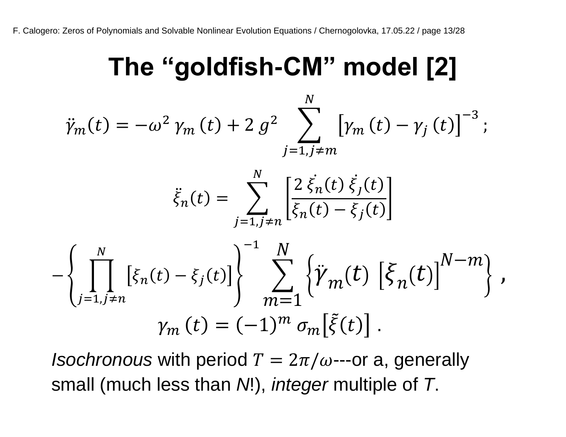### **The "goldfish-CM" model [2]**

$$
\ddot{\gamma}_m(t) = -\omega^2 \gamma_m(t) + 2 g^2 \sum_{j=1, j \neq m}^N \left[ \gamma_m(t) - \gamma_j(t) \right]^{-3};
$$
\n
$$
\ddot{\xi}_n(t) = \sum_{j=1, j \neq n}^N \left[ \frac{2 \dot{\xi}_n(t) \dot{\xi}_j(t)}{\dot{\xi}_n(t) - \dot{\xi}_j(t)} \right]
$$
\n
$$
- \left\{ \prod_{j=1, j \neq n}^N \left[ \xi_n(t) - \xi_j(t) \right] \right\}^{-1} \sum_{m=1}^N \left\{ \ddot{\gamma}_m(t) \left[ \xi_n(t) \right]^{N-m} \right\},
$$
\n
$$
\gamma_m(t) = (-1)^m \sigma_m \left[ \tilde{\xi}(t) \right].
$$

*Isochronous* with period  $T = 2\pi/\omega$ ---or a, generally small (much less than *N*!), *integer* multiple of *T*.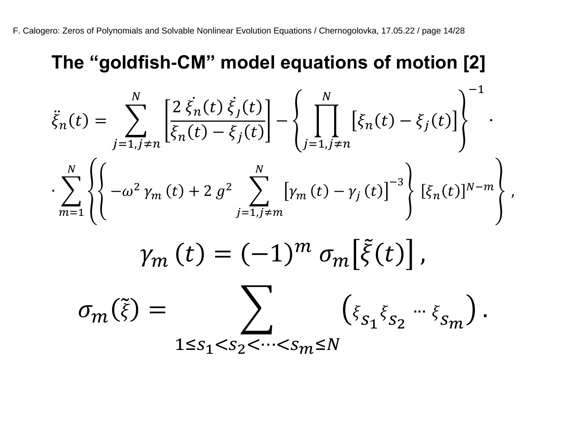#### **The "goldfish-CM" model equations of motion [2]**

$$
\ddot{\xi}_{n}(t) = \sum_{j=1, j \neq n}^{N} \left[ \frac{2 \dot{\xi}_{n}(t) \dot{\xi}_{j}(t)}{\xi_{n}(t) - \xi_{j}(t)} \right] - \left\{ \prod_{j=1, j \neq n}^{N} \left[ \xi_{n}(t) - \xi_{j}(t) \right] \right\}^{-1}.
$$
\n
$$
\sum_{m=1}^{N} \left\{ \left\{ -\omega^{2} \gamma_{m}(t) + 2 g^{2} \sum_{j=1, j \neq m}^{N} \left[ \gamma_{m}(t) - \gamma_{j}(t) \right]^{-3} \right\} \left[ \xi_{n}(t) \right]^{N-m} \right\},
$$
\n
$$
\gamma_{m}(t) = (-1)^{m} \sigma_{m} \left[ \tilde{\xi}(t) \right],
$$
\n
$$
\sigma_{m}(\tilde{\xi}) = \sum \left( \xi_{S_{1}} \xi_{S_{2}} \cdots \xi_{S_{m}} \right).
$$

 $1 \leq s_1 < s_2 < \cdots < s_m \leq N$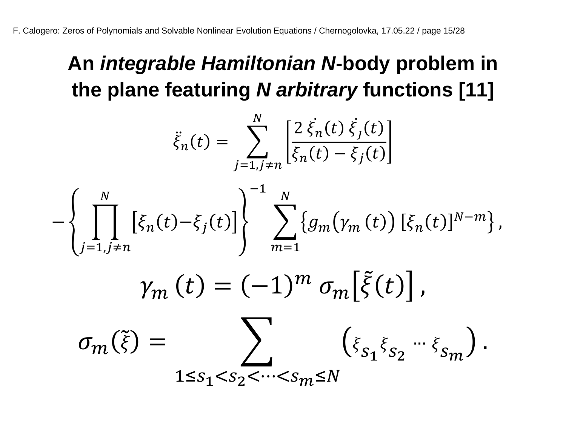#### **An** *integrable Hamiltonian N***-body problem in the plane featuring** *N arbitrary* **functions [11]**

$$
\ddot{\xi}_{n}(t) = \sum_{j=1, j \neq n}^{N} \left[ \frac{2 \, \dot{\xi}_{n}(t) \, \dot{\xi}_{j}(t)}{\xi_{n}(t) - \xi_{j}(t)} \right]
$$
\n
$$
- \left\{ \prod_{j=1, j \neq n}^{N} \left[ \xi_{n}(t) - \xi_{j}(t) \right] \right\}^{-1} \sum_{m=1}^{N} \left\{ g_{m}(\gamma_{m}(t)) \left[ \xi_{n}(t) \right]^{N-m} \right\},
$$
\n
$$
\gamma_{m}(t) = (-1)^{m} \sigma_{m} \left[ \tilde{\xi}(t) \right],
$$
\n
$$
\sigma_{m}(\tilde{\xi}) = \sum_{1 \leq s_{1} < s_{2} < \dots < s_{m} \leq N} \left( \xi_{s_{1}} \xi_{s_{2}} \cdots \xi_{s_{m}} \right).
$$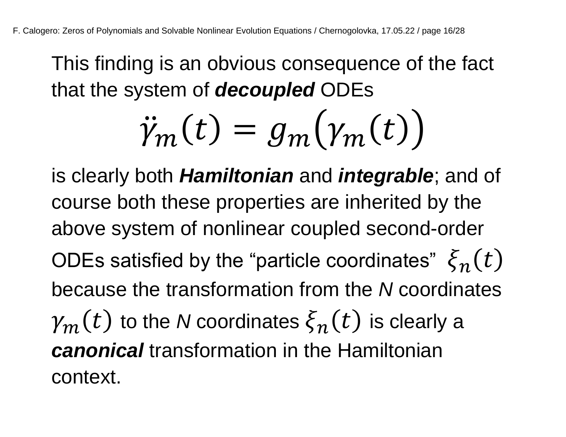This finding is an obvious consequence of the fact that the system of *decoupled* ODEs

$$
\ddot{\gamma}_m(t) = g_m(\gamma_m(t))
$$

is clearly both *Hamiltonian* and *integrable*; and of course both these properties are inherited by the above system of nonlinear coupled second-order ODEs satisfied by the "particle coordinates"  $\bar{\xi}_n(t)$ because the transformation from the *N* coordinates  $\mathcal{V}_m(t)$  to the *N* coordinates  $\xi_n(t)$  is clearly a *canonical* transformation in the Hamiltonian context.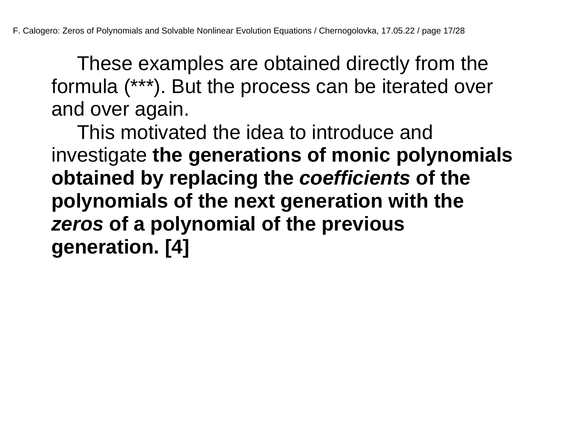These examples are obtained directly from the formula (\*\*\*). But the process can be iterated over and over again.

This motivated the idea to introduce and investigate **the generations of monic polynomials obtained by replacing the** *coefficients* **of the polynomials of the next generation with the**  *zeros* **of a polynomial of the previous generation. [4]**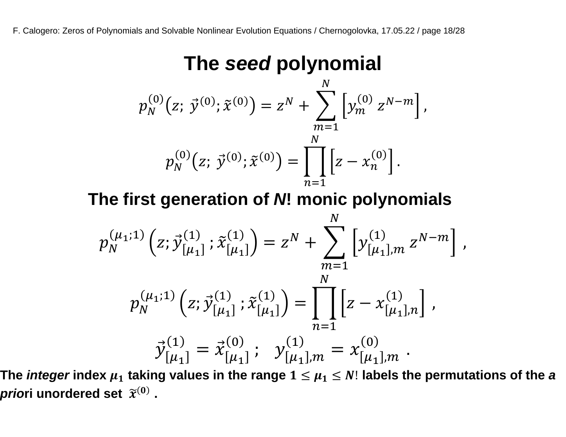#### **The** *seed* **polynomial**

$$
p_N^{(0)}(z; \vec{y}^{(0)}; \tilde{x}^{(0)}) = z^N + \sum_{m=1}^N \left[ y_m^{(0)} z^{N-m} \right],
$$
  

$$
p_N^{(0)}(z; \vec{y}^{(0)}; \tilde{x}^{(0)}) = \prod_{n=1}^N \left[ z - x_n^{(0)} \right].
$$

**The first generation of** *N***! monic polynomials**

$$
p_N^{(\mu_1;1)}(z; \vec{y}_{[\mu_1]}^{(1)}; \tilde{x}_{[\mu_1]}^{(1)}) = z^N + \sum_{m=1}^N \left[ y_{[\mu_1],m}^{(1)} z^{N-m} \right],
$$
  

$$
p_N^{(\mu_1;1)}(z; \vec{y}_{[\mu_1]}^{(1)}; \tilde{x}_{[\mu_1]}^{(1)}) = \prod_{n=1}^N \left[ z - x_{[\mu_1],n}^{(1)} \right],
$$
  

$$
\vec{y}_{[\mu_1]}^{(1)} = \vec{x}_{[\mu_1]}^{(0)}; \quad y_{[\mu_1],m}^{(1)} = x_{[\mu_1],m}^{(0)}.
$$

The *integer* index  $\mu_1$  taking values in the range  $1 \leq \mu_1 \leq N!$  labels the permutations of the  $\bm{a}$ *prio*ri unordered set  $\widetilde{x}^{(0)}$  .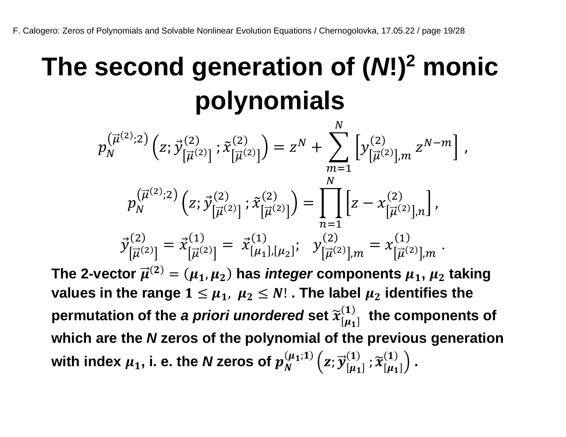## **The second generation of (***N***!)<sup>2</sup> monic polynomials**

$$
p_N^{(\vec{\mu}^{(2)};2)}(z;\vec{y}_{[\vec{\mu}^{(2)}]}^{(2)}; \tilde{x}_{[\vec{\mu}^{(2)}]}^{(2)}) = z^N + \sum_{m=1}^N \left[ y_{[\vec{\mu}^{(2)}],m}^{(2)} z^{N-m} \right],
$$
  

$$
p_N^{(\vec{\mu}^{(2)};2)}(z;\vec{y}_{[\vec{\mu}^{(2)}]}^{(2)}; \tilde{x}_{[\vec{\mu}^{(2)}]}^{(2)}) = \prod_{n=1}^N \left[ z - x_{[\vec{\mu}^{(2)}],n}^{(2)} \right],
$$
  

$$
\vec{y}_{[\vec{\mu}^{(2)}]}^{(2)} = \vec{x}_{[\vec{\mu}^{(2)}]}^{(1)} = \vec{x}_{[\mu_1],[\mu_2]}^{(1)}; \quad y_{[\vec{\mu}^{(2)}],m}^{(2)} = x_{[\vec{\mu}^{(2)}],m}^{(1)}.
$$

The 2-vector  $\overrightarrow{\mu}^{(2)} = (\mu_1, \mu_2)$  has *integer* components  $\mu_1$ ,  $\mu_2$  taking **values in the range**  $1 \leq \mu_1$ ,  $\mu_2 \leq N!$ . The label  $\mu_2$  identifies the permutation of the *a priori unordered* set  $\widetilde{\mathfrak{x}}^{(1)}_{[\mu_1]}$  the components of **which are the** *N* **zeros of the polynomial of the previous generation**  with index  $\mu_1$ , i. e. the *N* zeros of  $p_N^{(\mu_1;1)}\left( z;\vec{y}_{[\mu_1]}^{(1)}\right)$  $\widetilde{\left[\mu_{1}\right]}^{(1)}$  ,  $\widetilde{\chi}^{(1)}_{[\mu_{1}]}\Big)$  .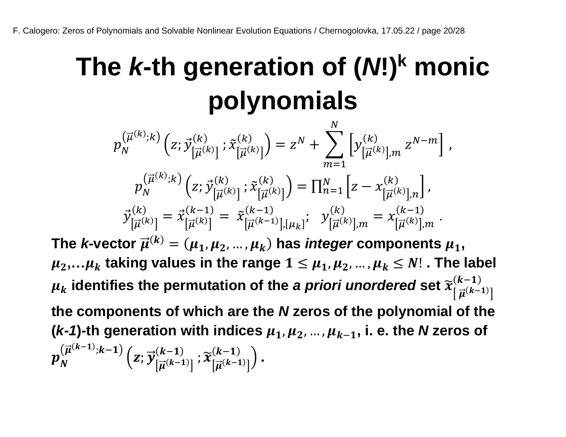## **The** *k***-th generation of (***N***!)<sup>k</sup> monic polynomials**

 $p_N^{\vee}$  $\left(\vec{\mu}^{(k)};k\right)\left(z;\vec{y}\right)$  $\left[\vec{\mu}^{(k)}\right]$  $\left(\begin{smallmatrix} k \\ \vdots \\ k\end{smallmatrix}\right)$  ;  $\widetilde{x}$  $\left[\vec{\mu}^{(k)}\right]$  $\binom{k}{\left[\right]_1(k)} = z^N + \sum \left[ y \right]$  $\left[\vec{\mu}^{(k)}\right]$ , $m$  $\binom{k}{\Box(k)}$   $Z^{N-m}$ ,  $\boldsymbol{N}$  $m=1$  $p_N^{\vee\prime}$  $\begin{pmatrix} \vec{\mu}^{(k)};k\end{pmatrix}\Big(z;\vec{\mathcal{Y}}^{(k)}_{\left[\vec{\mu}^{(k)}\right]},$  $\widetilde{k}^{(k)}_{\Gamma \to (k)1}$  ;  $\widetilde{x}$  $\left[\vec{\mu}^{(k)}\right]$  $\binom{k}{\prod_{i=1}^{n}k}$  =  $\prod_{n=1}^{N}$   $\left[ z - x \right]$  $\left[\vec{\mu}^{(k)}\right]$ ,n  $\sum_{n=1}^{N} \left[ z - x_{\left[ \right. \right. \overrightarrow{x}}^{(k)} \right]$  $\int_{n=1}^{N} |Z - \chi_{\left[\overrightarrow{n}(k)\right]_n}^{(k)}|,$  $\vec{\mathcal{Y}}_{\left[\vec{\mu}^{\left(k\right)}\right]}^{\left(\kappa\right)}$  $\binom{(k)}{|\vec{\mu}^{(k)}|} = \vec{x}^{(k-1)}_{|\vec{\mu}^{(k)}|}$  $\frac{(k-1)}{\Gamma(\vec{x})} = \tilde{x}$  $[\vec{\mu}^{(k-1)}],[\mu_k]$  $(k-1)$ <br>  $\left[\frac{1}{k-1}(k-1)1\right]$  [... ]<sup>†</sup>  $\mathcal{Y}$  $[\vec{\mu}^{(k)}]$ , $m$  $\binom{k}{\prod_{i=1}^{n}(k)!} = x$  $\left[\vec{\mu}^{(k)}\right]$ ,*m*  $(k-1)$ <br>  $\Box(k)$  …

The *k*-vector  $\vec{\mu}^{(k)} = (\mu_1, \mu_2, ..., \mu_k)$  has *integer* components  $\mu_1$ ,  $\mu_2,...\mu_k$  taking values in the range  $1 \leq \mu_1, \mu_2,..., \mu_k \leq N!$ . The label  $\mu_k$  identifies the permutation of the *a priori unordered* set  $\widetilde{\chi}^{(\mathcal{K}-1)}_{\lceil\vec{\mu}^{(k-1)}\rceil}$  $(k-1)$ **the components of which are the** *N* **zeros of the polynomial of the**  ( $k-1$ )-th generation with indices  $\mu_1, \mu_2, ..., \mu_{k-1}$ , i. e. the *N* zeros of  $p_{N}^{(\overrightarrow{\mu}^{(k-1)};k-1)}\left( \overrightarrow{z};\overrightarrow{y}\right)$  $\left[\vec{\mu}^{(k-1)}\right]$  $\frac{(k-1)}{\Gamma \rightleftharpoons (k-1)1}$  ;  $\widetilde{\boldsymbol{\chi}}$  $\left[\vec{\mu}^{(k-1)}\right]$  $\frac{(k-1)}{(k-1)!}$ .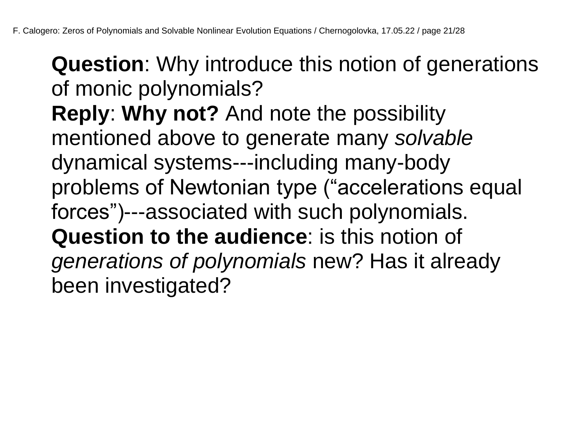**Question**: Why introduce this notion of generations of monic polynomials?

**Reply**: **Why not?** And note the possibility mentioned above to generate many *solvable* dynamical systems---including many-body problems of Newtonian type ("accelerations equal forces")---associated with such polynomials. **Question to the audience**: is this notion of *generations of polynomials* new? Has it already been investigated?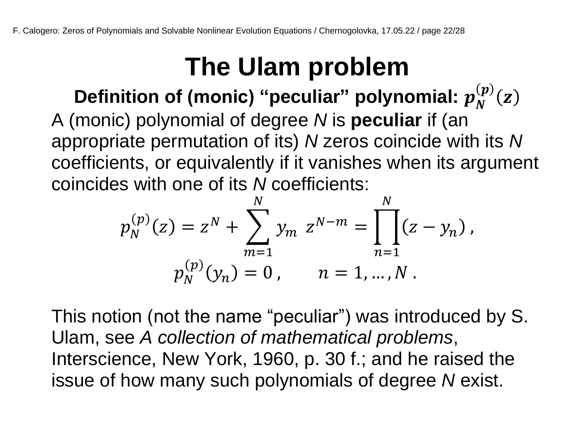## **The Ulam problem**

Definition of (monic) "peculiar" polynomial:  $p_N^{(p)}(z)$ A (monic) polynomial of degree *N* is **peculiar** if (an appropriate permutation of its) *N* zeros coincide with its *N* coefficients, or equivalently if it vanishes when its argument coincides with one of its *N* coefficients:

$$
p_N^{(p)}(z) = z^N + \sum_{m=1}^N y_m z^{N-m} = \prod_{n=1}^N (z - y_n),
$$
  

$$
p_N^{(p)}(y_n) = 0, \qquad n = 1, ..., N.
$$

This notion (not the name "peculiar") was introduced by S. Ulam, see *A collection of mathematical problems*, Interscience, New York, 1960, p. 30 f.; and he raised the issue of how many such polynomials of degree *N* exist.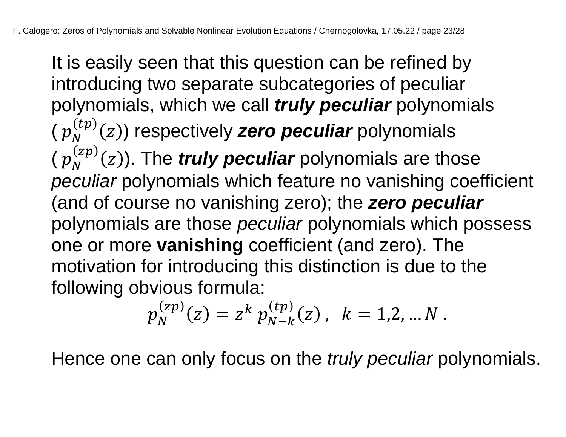It is easily seen that this question can be refined by introducing two separate subcategories of peculiar polynomials, which we call *truly peculiar* polynomials  $(p_N^{(tp)}(z))$  respectively **zero peculiar** polynomials  $(p_N^{(zp)}(z))$ . The *truly peculiar* polynomials are those *peculiar* polynomials which feature no vanishing coefficient (and of course no vanishing zero); the *zero peculiar* polynomials are those *peculiar* polynomials which possess one or more **vanishing** coefficient (and zero). The motivation for introducing this distinction is due to the following obvious formula:

$$
p_N^{(zp)}(z) = z^k p_{N-k}^{(tp)}(z) , \ \ k = 1, 2, ... N .
$$

Hence one can only focus on the *truly peculiar* polynomials.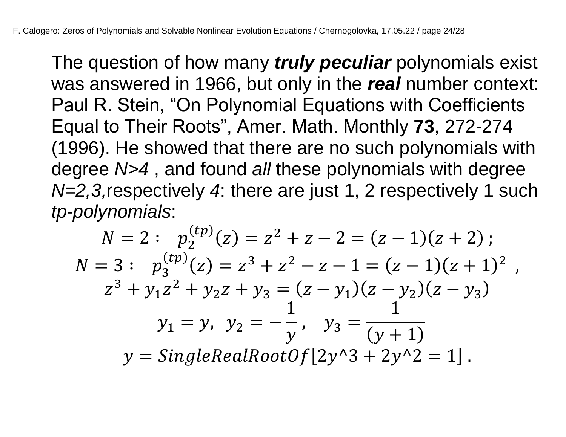The question of how many *truly peculiar* polynomials exist was answered in 1966, but only in the *real* number context: Paul R. Stein, "On Polynomial Equations with Coefficients Equal to Their Roots", Amer. Math. Monthly **73**, 272-274 (1996). He showed that there are no such polynomials with degree *N>4* , and found *all* these polynomials with degree *N=2,3,*respectively *4*: there are just 1, 2 respectively 1 such *tp-polynomials*:

$$
N = 2: \quad p_2^{(tp)}(z) = z^2 + z - 2 = (z - 1)(z + 2);
$$
\n
$$
N = 3: \quad p_3^{(tp)}(z) = z^3 + z^2 - z - 1 = (z - 1)(z + 1)^2 ,
$$
\n
$$
z^3 + y_1 z^2 + y_2 z + y_3 = (z - y_1)(z - y_2)(z - y_3)
$$
\n
$$
y_1 = y, \quad y_2 = -\frac{1}{y}, \quad y_3 = \frac{1}{(y + 1)}
$$
\n
$$
y = SingleRealRootOf[2y^3 + 2y^2] = 1].
$$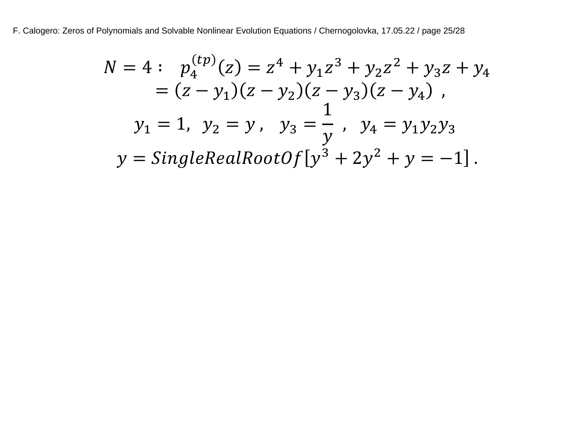F. Calogero: Zeros of Polynomials and Solvable Nonlinear Evolution Equations / Chernogolovka, 17.05.22 / page 25/28

$$
N = 4: \quad p_4^{(tp)}(z) = z^4 + y_1 z^3 + y_2 z^2 + y_3 z + y_4
$$
  
=  $(z - y_1)(z - y_2)(z - y_3)(z - y_4)$ ,  

$$
y_1 = 1, \quad y_2 = y, \quad y_3 = \frac{1}{y}, \quad y_4 = y_1 y_2 y_3
$$
  

$$
y = SingleRealRootOf[y^3 + 2y^2 + y = -1].
$$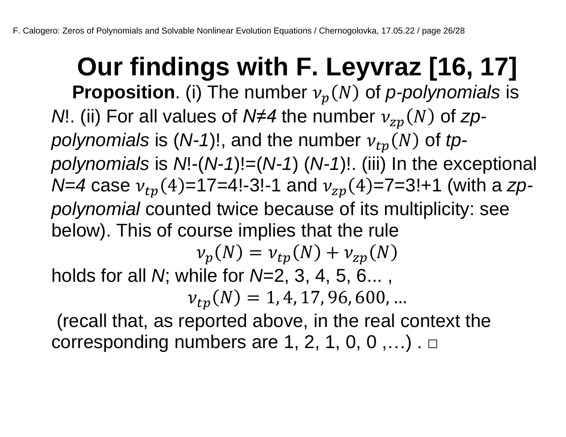**Our findings with F. Leyvraz [16, 17] Proposition**. (i) The number  $v_p(N)$  of p-polynomials is *N*!. (ii) For all values of *N*≠4 the number  $v_{zp}(N)$  of *zppolynomials* is  $(N-1)!$ , and the number  $v_{tp}(N)$  of *tppolynomials* is *N*!-(*N-1*)!=(*N-1*) (*N-1*)!. (iii) In the exceptional  $N=4$  case  $v_{tn}(4)=17=4!$ -3!-1 and  $v_{zp}(4)=7=3!+1$  (with a *zppolynomial* counted twice because of its multiplicity: see below). This of course implies that the rule  $\nu_p(N) = \nu_{tp}(N) + \nu_{zp}(N)$ 

holds for all *N*; while for *N*=2, 3, 4, 5, 6... ,

 $v_{tp}(N) = 1, 4, 17, 96, 600, ...$ 

(recall that, as reported above, in the real context the corresponding numbers are 1, 2, 1, 0, 0,  $\dots$ ).  $\Box$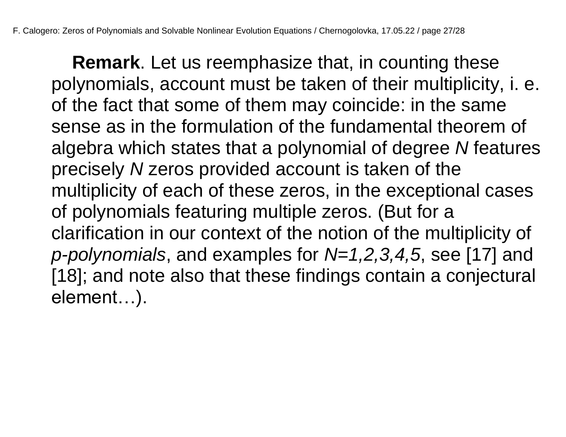**Remark**. Let us reemphasize that, in counting these polynomials, account must be taken of their multiplicity, i. e. of the fact that some of them may coincide: in the same sense as in the formulation of the fundamental theorem of algebra which states that a polynomial of degree *N* features precisely *N* zeros provided account is taken of the multiplicity of each of these zeros, in the exceptional cases of polynomials featuring multiple zeros. (But for a clarification in our context of the notion of the multiplicity of *p-polynomials*, and examples for *N=1,2,3,4,5*, see [17] and [18]; and note also that these findings contain a conjectural element…).